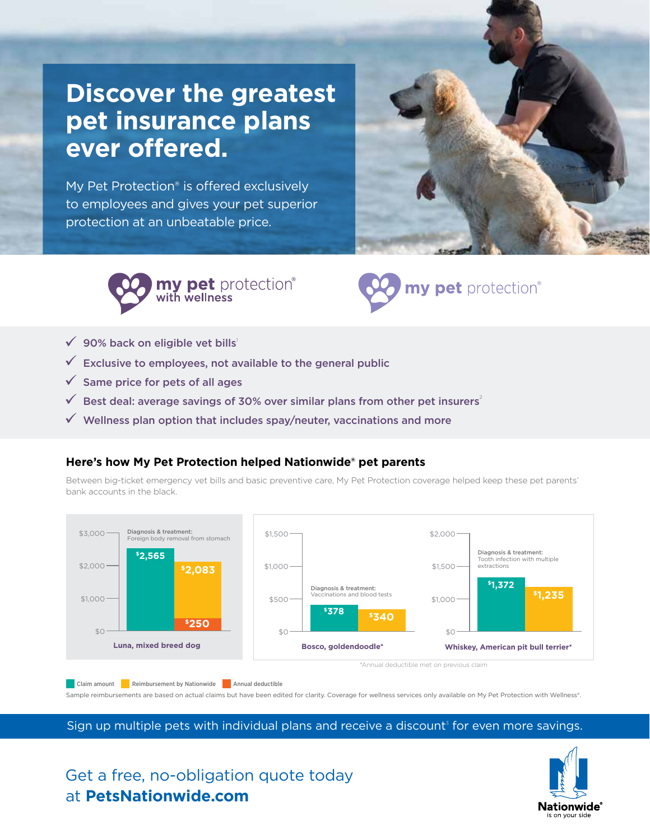# **Discover the greatest pet insurance plans ever offered.**

My Pet Protection® is offered exclusively to employees and gives your pet superior protection at an unbeatable price.







- $\checkmark$  90% back on eligible vet bills<sup>1</sup>
- $\checkmark$  Exclusive to employees, not available to the general public
- $\checkmark$  Same price for pets of all ages
- $\checkmark$  Best deal: average savings of 30% over similar plans from other pet insurers<sup>2</sup>
- $\checkmark$  Wellness plan option that includes spay/neuter, vaccinations and more

#### **Here's how My Pet Protection helped Nationwide® pet parents**

Between big-ticket emergency vet bills and basic preventive care, My Pet Protection coverage helped keep these pet parents' bank accounts in the black.



Sample reimbursements are based on actual claims but have been edited for clarity. Coverage for wellness services only available on My Pet Protection with Wellness®.

Sign up multiple pets with individual plans and receive a discount<sup>3</sup> for even more savings.

### Get a free, no-obligation quote today at **PetsNationwide.com**